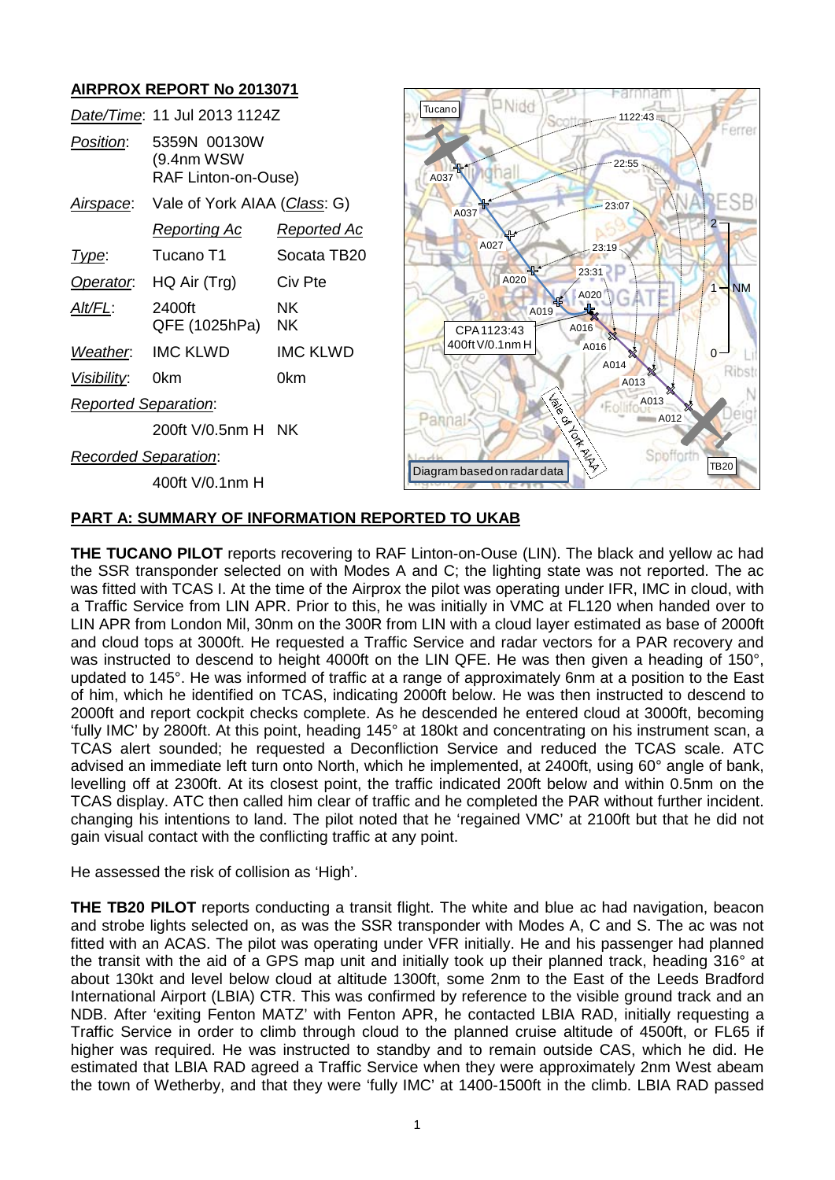# **AIRPROX REPORT No 2013071**

|                             | Date/Time: 11 Jul 2013 1124Z                      |                 |
|-----------------------------|---------------------------------------------------|-----------------|
| <i>Position</i> :           | 5359N 00130W<br>(9.4nm WSW<br>RAF Linton-on-Ouse) |                 |
| <u>Airspace:</u>            | Vale of York AIAA (Class: G)                      |                 |
|                             | <u>Reporting Ac</u>                               | Reported Ac     |
| Type:                       | Tucano T1                                         | Socata TB20     |
| Operator.                   | HQ Air (Trg)                                      | Civ Pte         |
| AIt/FL:                     | 2400ft<br>QFE (1025hPa)                           | NΚ<br>ΝK        |
| Weather.                    | <b>IMC KLWD</b>                                   | <b>IMC KLWD</b> |
| <u>Visibility:</u>          | 0km                                               | 0km             |
| <b>Reported Separation:</b> |                                                   |                 |
|                             | 200ft V/0.5nm H NK                                |                 |
| <b>Recorded Separation:</b> |                                                   |                 |
|                             | 400ft V/0.1nm H                                   |                 |



#### **PART A: SUMMARY OF INFORMATION REPORTED TO UKAB**

**THE TUCANO PILOT** reports recovering to RAF Linton-on-Ouse (LIN). The black and yellow ac had the SSR transponder selected on with Modes A and C; the lighting state was not reported. The ac was fitted with TCAS I. At the time of the Airprox the pilot was operating under IFR, IMC in cloud, with a Traffic Service from LIN APR. Prior to this, he was initially in VMC at FL120 when handed over to LIN APR from London Mil, 30nm on the 300R from LIN with a cloud layer estimated as base of 2000ft and cloud tops at 3000ft. He requested a Traffic Service and radar vectors for a PAR recovery and was instructed to descend to height 4000ft on the LIN QFE. He was then given a heading of 150°, updated to 145°. He was informed of traffic at a range of approximately 6nm at a position to the East of him, which he identified on TCAS, indicating 2000ft below. He was then instructed to descend to 2000ft and report cockpit checks complete. As he descended he entered cloud at 3000ft, becoming 'fully IMC' by 2800ft. At this point, heading 145° at 180kt and concentrating on his instrument scan, a TCAS alert sounded; he requested a Deconfliction Service and reduced the TCAS scale. ATC advised an immediate left turn onto North, which he implemented, at 2400ft, using 60° angle of bank, levelling off at 2300ft. At its closest point, the traffic indicated 200ft below and within 0.5nm on the TCAS display. ATC then called him clear of traffic and he completed the PAR without further incident. changing his intentions to land. The pilot noted that he 'regained VMC' at 2100ft but that he did not gain visual contact with the conflicting traffic at any point.

He assessed the risk of collision as 'High'.

**THE TB20 PILOT** reports conducting a transit flight. The white and blue ac had navigation, beacon and strobe lights selected on, as was the SSR transponder with Modes A, C and S. The ac was not fitted with an ACAS. The pilot was operating under VFR initially. He and his passenger had planned the transit with the aid of a GPS map unit and initially took up their planned track, heading 316° at about 130kt and level below cloud at altitude 1300ft, some 2nm to the East of the Leeds Bradford International Airport (LBIA) CTR. This was confirmed by reference to the visible ground track and an NDB. After 'exiting Fenton MATZ' with Fenton APR, he contacted LBIA RAD, initially requesting a Traffic Service in order to climb through cloud to the planned cruise altitude of 4500ft, or FL65 if higher was required. He was instructed to standby and to remain outside CAS, which he did. He estimated that LBIA RAD agreed a Traffic Service when they were approximately 2nm West abeam the town of Wetherby, and that they were 'fully IMC' at 1400-1500ft in the climb. LBIA RAD passed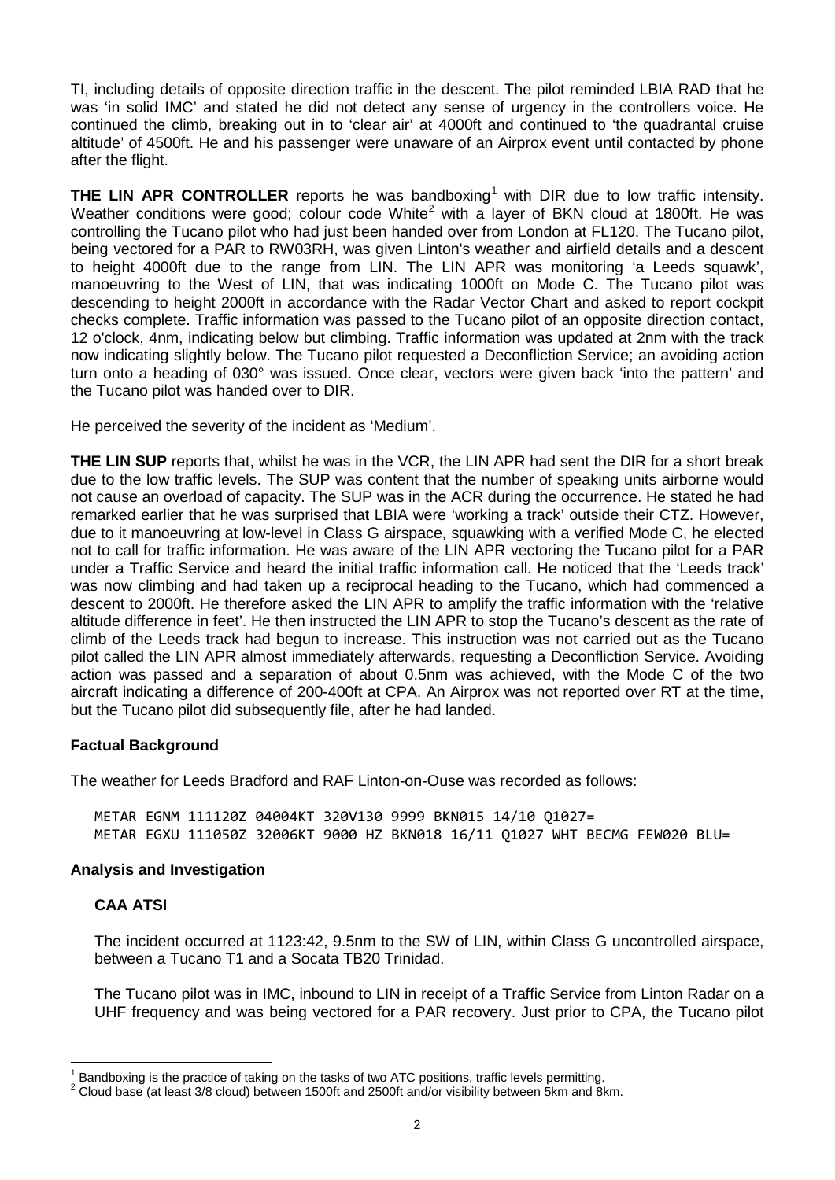TI, including details of opposite direction traffic in the descent. The pilot reminded LBIA RAD that he was 'in solid IMC' and stated he did not detect any sense of urgency in the controllers voice. He continued the climb, breaking out in to 'clear air' at 4000ft and continued to 'the quadrantal cruise altitude' of 4500ft. He and his passenger were unaware of an Airprox event until contacted by phone after the flight.

**THE LIN APR CONTROLLER** reports he was bandboxing<sup>[1](#page-1-0)</sup> with DIR due to low traffic intensity. Weather conditions were good; colour code White<sup>[2](#page-1-1)</sup> with a layer of BKN cloud at 1800ft. He was controlling the Tucano pilot who had just been handed over from London at FL120. The Tucano pilot, being vectored for a PAR to RW03RH, was given Linton's weather and airfield details and a descent to height 4000ft due to the range from LIN. The LIN APR was monitoring 'a Leeds squawk', manoeuvring to the West of LIN, that was indicating 1000ft on Mode C. The Tucano pilot was descending to height 2000ft in accordance with the Radar Vector Chart and asked to report cockpit checks complete. Traffic information was passed to the Tucano pilot of an opposite direction contact, 12 o'clock, 4nm, indicating below but climbing. Traffic information was updated at 2nm with the track now indicating slightly below. The Tucano pilot requested a Deconfliction Service; an avoiding action turn onto a heading of 030° was issued. Once clear, vectors were given back 'into the pattern' and the Tucano pilot was handed over to DIR.

He perceived the severity of the incident as 'Medium'.

**THE LIN SUP** reports that, whilst he was in the VCR, the LIN APR had sent the DIR for a short break due to the low traffic levels. The SUP was content that the number of speaking units airborne would not cause an overload of capacity. The SUP was in the ACR during the occurrence. He stated he had remarked earlier that he was surprised that LBIA were 'working a track' outside their CTZ. However, due to it manoeuvring at low-level in Class G airspace, squawking with a verified Mode C, he elected not to call for traffic information. He was aware of the LIN APR vectoring the Tucano pilot for a PAR under a Traffic Service and heard the initial traffic information call. He noticed that the 'Leeds track' was now climbing and had taken up a reciprocal heading to the Tucano, which had commenced a descent to 2000ft. He therefore asked the LIN APR to amplify the traffic information with the 'relative altitude difference in feet'. He then instructed the LIN APR to stop the Tucano's descent as the rate of climb of the Leeds track had begun to increase. This instruction was not carried out as the Tucano pilot called the LIN APR almost immediately afterwards, requesting a Deconfliction Service. Avoiding action was passed and a separation of about 0.5nm was achieved, with the Mode C of the two aircraft indicating a difference of 200-400ft at CPA. An Airprox was not reported over RT at the time, but the Tucano pilot did subsequently file, after he had landed.

# **Factual Background**

The weather for Leeds Bradford and RAF Linton-on-Ouse was recorded as follows:

METAR EGNM 111120Z 04004KT 320V130 9999 BKN015 14/10 Q1027= METAR EGXU 111050Z 32006KT 9000 HZ BKN018 16/11 Q1027 WHT BECMG FEW020 BLU=

# **Analysis and Investigation**

# **CAA ATSI**

The incident occurred at 1123:42, 9.5nm to the SW of LIN, within Class G uncontrolled airspace, between a Tucano T1 and a Socata TB20 Trinidad.

The Tucano pilot was in IMC, inbound to LIN in receipt of a Traffic Service from Linton Radar on a UHF frequency and was being vectored for a PAR recovery. Just prior to CPA, the Tucano pilot

<span id="page-1-1"></span>

<span id="page-1-0"></span><sup>&</sup>lt;sup>1</sup> Bandboxing is the practice of taking on the tasks of two ATC positions, traffic levels permitting.<br><sup>2</sup> Cloud base (at least 3/8 cloud) between 1500ft and 2500ft and/or visibility between 5km and 8km.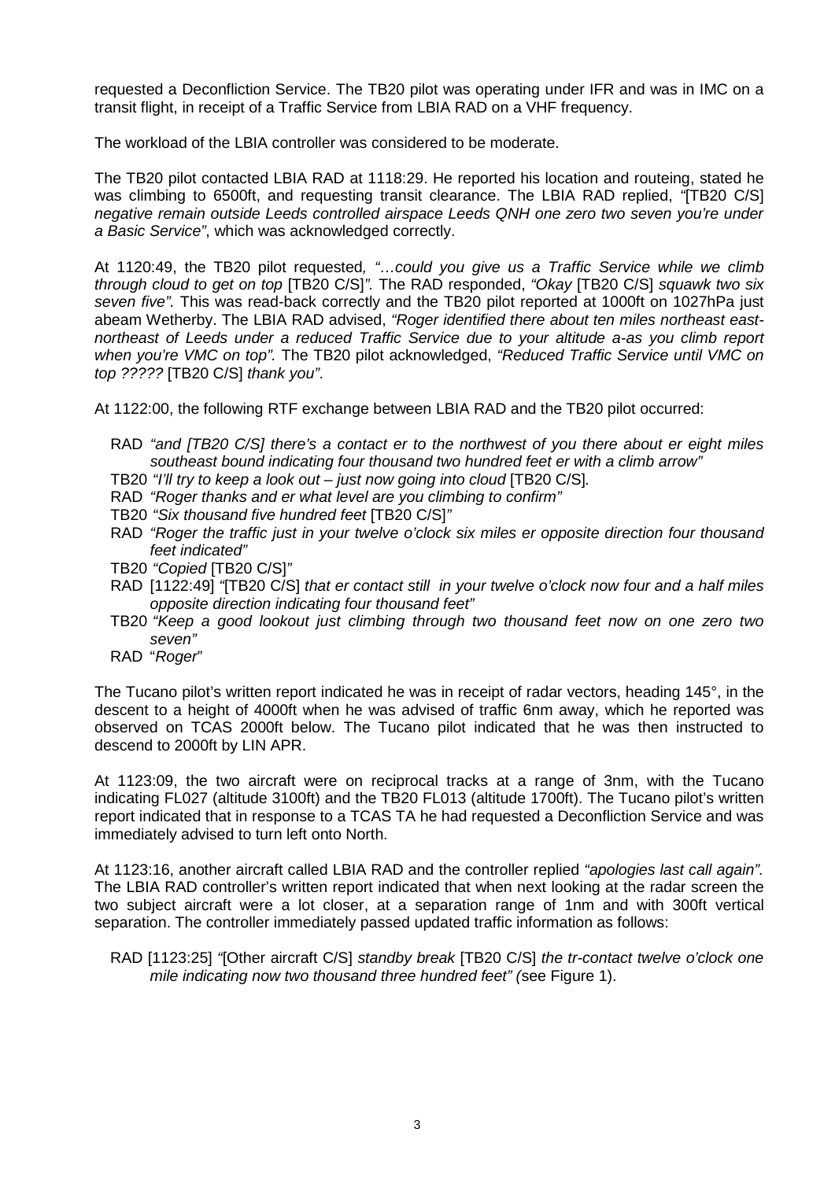requested a Deconfliction Service. The TB20 pilot was operating under IFR and was in IMC on a transit flight, in receipt of a Traffic Service from LBIA RAD on a VHF frequency.

The workload of the LBIA controller was considered to be moderate.

The TB20 pilot contacted LBIA RAD at 1118:29. He reported his location and routeing, stated he was climbing to 6500ft, and requesting transit clearance. The LBIA RAD replied, *"*[TB20 C/S] *negative remain outside Leeds controlled airspace Leeds QNH one zero two seven you're under a Basic Service"*, which was acknowledged correctly.

At 1120:49, the TB20 pilot requested*, "…could you give us a Traffic Service while we climb through cloud to get on top* [TB20 C/S]*".* The RAD responded, *"Okay* [TB20 C/S] *squawk two six seven five".* This was read-back correctly and the TB20 pilot reported at 1000ft on 1027hPa just abeam Wetherby. The LBIA RAD advised, *"Roger identified there about ten miles northeast eastnortheast of Leeds under a reduced Traffic Service due to your altitude a-as you climb report when you're VMC on top".* The TB20 pilot acknowledged, *"Reduced Traffic Service until VMC on top ?????* [TB20 C/S] *thank you"*.

At 1122:00, the following RTF exchange between LBIA RAD and the TB20 pilot occurred:

- RAD *"and [TB20 C/S] there's a contact er to the northwest of you there about er eight miles southeast bound indicating four thousand two hundred feet er with a climb arrow"*
- TB20 *"I'll try to keep a look out – just now going into cloud* [TB20 C/S]*.*
- RAD *"Roger thanks and er what level are you climbing to confirm"*
- TB20 *"Six thousand five hundred feet* [TB20 C/S]*"*
- RAD *"Roger the traffic just in your twelve o'clock six miles er opposite direction four thousand feet indicated"*
- TB20 *"Copied* [TB20 C/S]*"*
- RAD [1122:49] *"*[TB20 C/S] *that er contact still in your twelve o'clock now four and a half miles opposite direction indicating four thousand feet"*
- TB20 *"Keep a good lookout just climbing through two thousand feet now on one zero two seven"*
- RAD "*Roger*"

The Tucano pilot's written report indicated he was in receipt of radar vectors, heading 145°, in the descent to a height of 4000ft when he was advised of traffic 6nm away, which he reported was observed on TCAS 2000ft below. The Tucano pilot indicated that he was then instructed to descend to 2000ft by LIN APR.

At 1123:09, the two aircraft were on reciprocal tracks at a range of 3nm, with the Tucano indicating FL027 (altitude 3100ft) and the TB20 FL013 (altitude 1700ft). The Tucano pilot's written report indicated that in response to a TCAS TA he had requested a Deconfliction Service and was immediately advised to turn left onto North.

At 1123:16, another aircraft called LBIA RAD and the controller replied *"apologies last call again".* The LBIA RAD controller's written report indicated that when next looking at the radar screen the two subject aircraft were a lot closer, at a separation range of 1nm and with 300ft vertical separation. The controller immediately passed updated traffic information as follows:

RAD [1123:25] *"*[Other aircraft C/S] *standby break* [TB20 C/S] *the tr-contact twelve o'clock one mile indicating now two thousand three hundred feet" (*see Figure 1).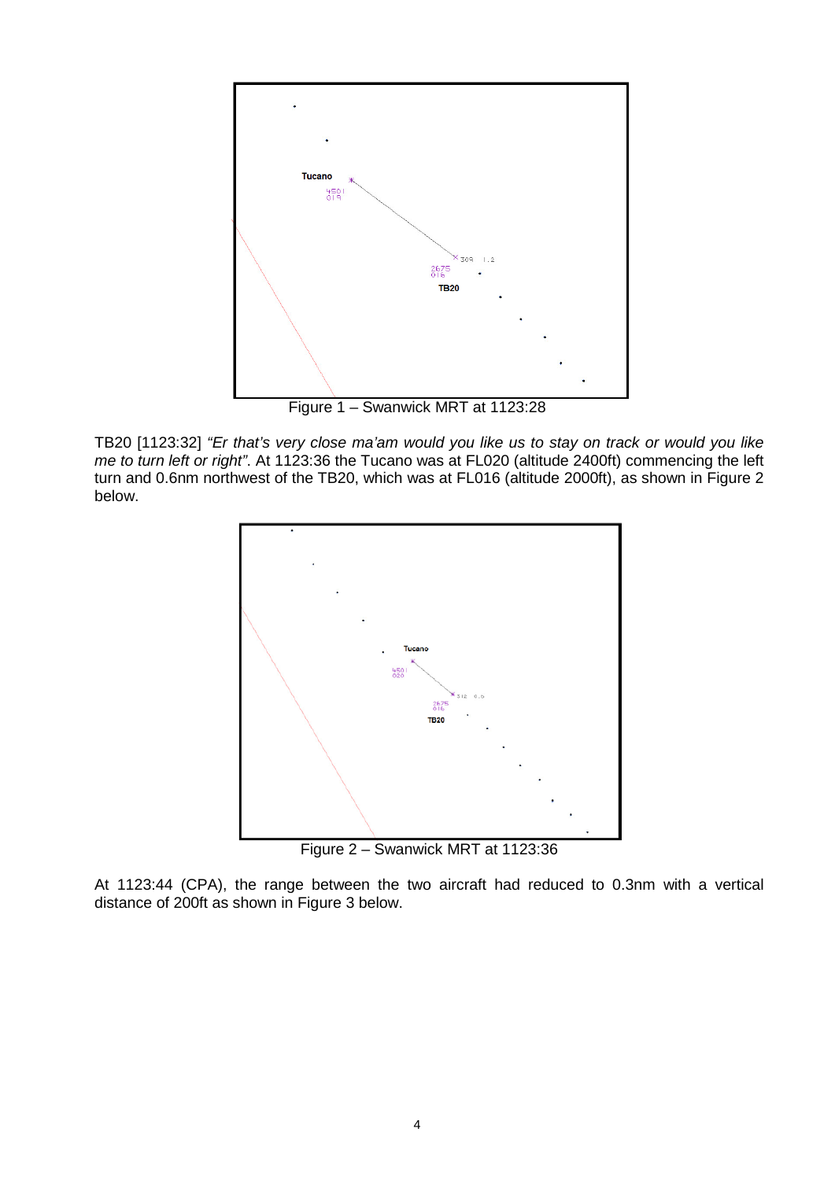

Figure 1 – Swanwick MRT at 1123:28

TB20 [1123:32] *"Er that's very close ma'am would you like us to stay on track or would you like me to turn left or right"*. At 1123:36 the Tucano was at FL020 (altitude 2400ft) commencing the left turn and 0.6nm northwest of the TB20, which was at FL016 (altitude 2000ft), as shown in Figure 2 below.



Figure 2 – Swanwick MRT at 1123:36

At 1123:44 (CPA), the range between the two aircraft had reduced to 0.3nm with a vertical distance of 200ft as shown in Figure 3 below.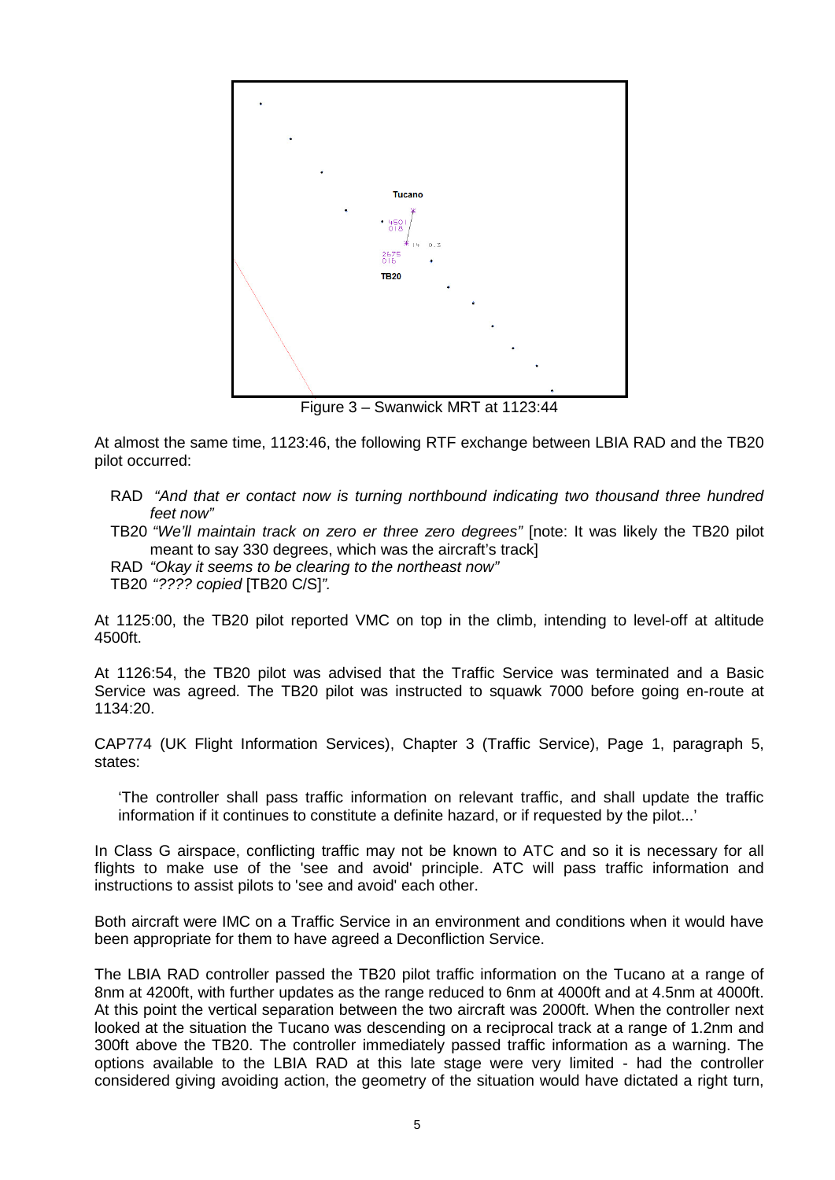

Figure 3 – Swanwick MRT at 1123:44

At almost the same time, 1123:46, the following RTF exchange between LBIA RAD and the TB20 pilot occurred:

- RAD *"And that er contact now is turning northbound indicating two thousand three hundred feet now"*
- TB20 *"We'll maintain track on zero er three zero degrees"* [note: It was likely the TB20 pilot meant to say 330 degrees, which was the aircraft's track]
- RAD *"Okay it seems to be clearing to the northeast now"*

TB20 *"???? copied* [TB20 C/S]*".*

At 1125:00, the TB20 pilot reported VMC on top in the climb, intending to level-off at altitude 4500ft.

At 1126:54, the TB20 pilot was advised that the Traffic Service was terminated and a Basic Service was agreed. The TB20 pilot was instructed to squawk 7000 before going en-route at 1134:20.

CAP774 (UK Flight Information Services), Chapter 3 (Traffic Service), Page 1, paragraph 5, states:

'The controller shall pass traffic information on relevant traffic, and shall update the traffic information if it continues to constitute a definite hazard, or if requested by the pilot...'

In Class G airspace, conflicting traffic may not be known to ATC and so it is necessary for all flights to make use of the 'see and avoid' principle. ATC will pass traffic information and instructions to assist pilots to 'see and avoid' each other.

Both aircraft were IMC on a Traffic Service in an environment and conditions when it would have been appropriate for them to have agreed a Deconfliction Service.

The LBIA RAD controller passed the TB20 pilot traffic information on the Tucano at a range of 8nm at 4200ft, with further updates as the range reduced to 6nm at 4000ft and at 4.5nm at 4000ft. At this point the vertical separation between the two aircraft was 2000ft. When the controller next looked at the situation the Tucano was descending on a reciprocal track at a range of 1.2nm and 300ft above the TB20. The controller immediately passed traffic information as a warning. The options available to the LBIA RAD at this late stage were very limited - had the controller considered giving avoiding action, the geometry of the situation would have dictated a right turn,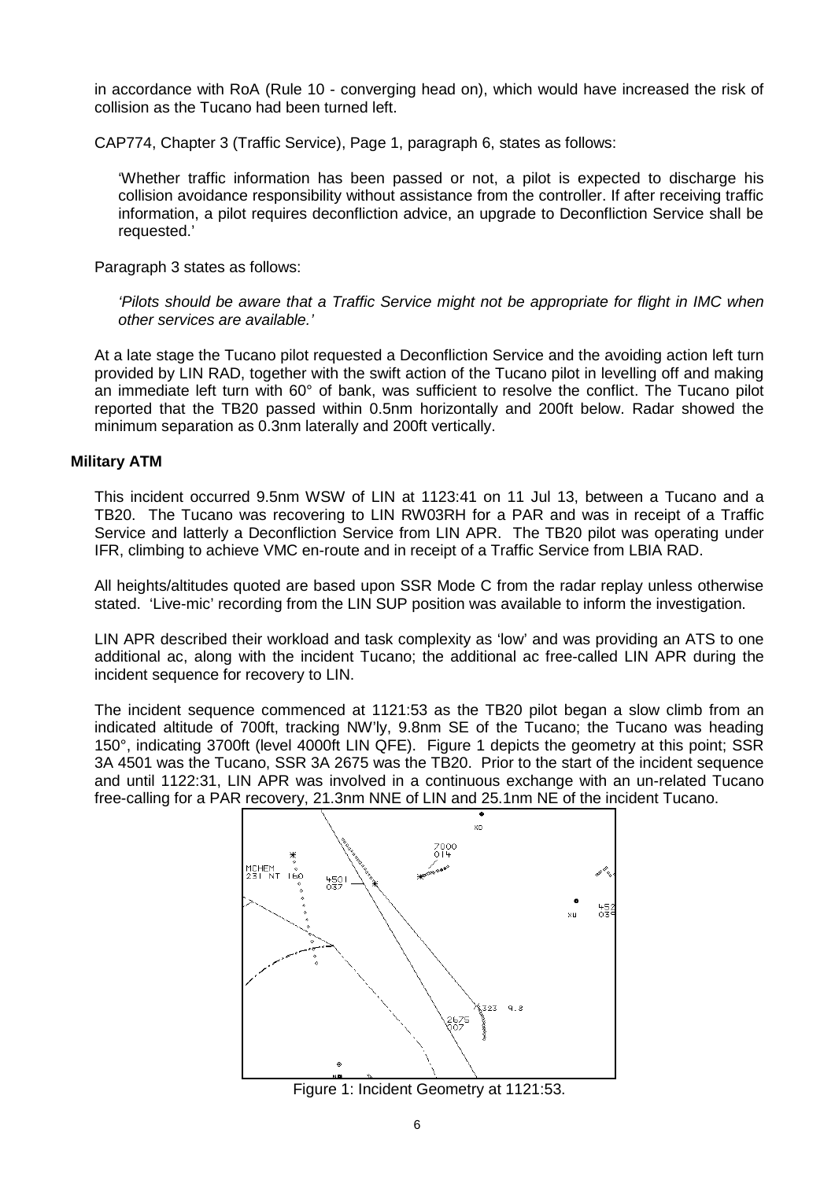in accordance with RoA (Rule 10 - converging head on), which would have increased the risk of collision as the Tucano had been turned left.

CAP774, Chapter 3 (Traffic Service), Page 1, paragraph 6, states as follows:

'Whether traffic information has been passed or not, a pilot is expected to discharge his collision avoidance responsibility without assistance from the controller. If after receiving traffic information, a pilot requires deconfliction advice, an upgrade to Deconfliction Service shall be requested.'

Paragraph 3 states as follows:

*'Pilots should be aware that a Traffic Service might not be appropriate for flight in IMC when other services are available.'*

At a late stage the Tucano pilot requested a Deconfliction Service and the avoiding action left turn provided by LIN RAD, together with the swift action of the Tucano pilot in levelling off and making an immediate left turn with 60° of bank, was sufficient to resolve the conflict. The Tucano pilot reported that the TB20 passed within 0.5nm horizontally and 200ft below. Radar showed the minimum separation as 0.3nm laterally and 200ft vertically.

#### **Military ATM**

This incident occurred 9.5nm WSW of LIN at 1123:41 on 11 Jul 13, between a Tucano and a TB20. The Tucano was recovering to LIN RW03RH for a PAR and was in receipt of a Traffic Service and latterly a Deconfliction Service from LIN APR. The TB20 pilot was operating under IFR, climbing to achieve VMC en-route and in receipt of a Traffic Service from LBIA RAD.

All heights/altitudes quoted are based upon SSR Mode C from the radar replay unless otherwise stated. 'Live-mic' recording from the LIN SUP position was available to inform the investigation.

LIN APR described their workload and task complexity as 'low' and was providing an ATS to one additional ac, along with the incident Tucano; the additional ac free-called LIN APR during the incident sequence for recovery to LIN.

The incident sequence commenced at 1121:53 as the TB20 pilot began a slow climb from an indicated altitude of 700ft, tracking NW'ly, 9.8nm SE of the Tucano; the Tucano was heading 150°, indicating 3700ft (level 4000ft LIN QFE). Figure 1 depicts the geometry at this point; SSR 3A 4501 was the Tucano, SSR 3A 2675 was the TB20. Prior to the start of the incident sequence and until 1122:31, LIN APR was involved in a continuous exchange with an un-related Tucano free-calling for a PAR recovery, 21.3nm NNE of LIN and 25.1nm NE of the incident Tucano.



Figure 1: Incident Geometry at 1121:53.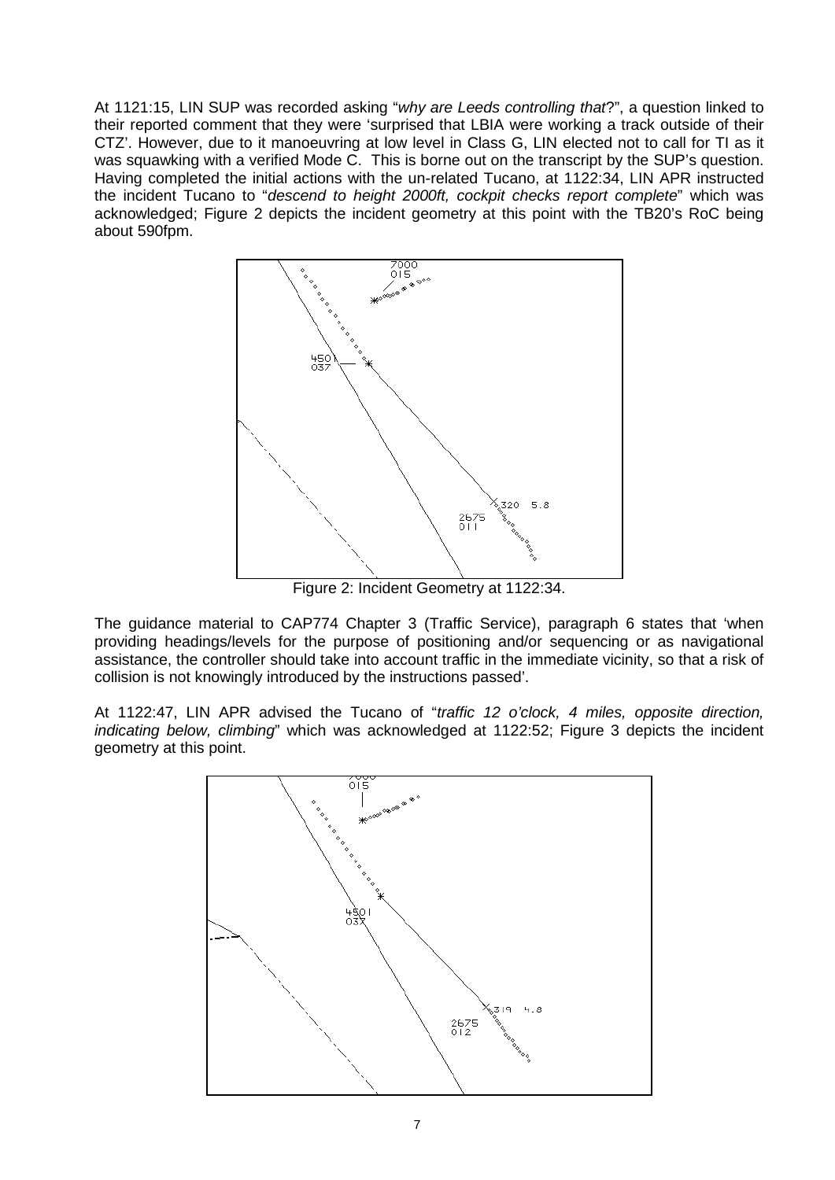At 1121:15, LIN SUP was recorded asking "*why are Leeds controlling that*?", a question linked to their reported comment that they were 'surprised that LBIA were working a track outside of their CTZ'. However, due to it manoeuvring at low level in Class G, LIN elected not to call for TI as it was squawking with a verified Mode C. This is borne out on the transcript by the SUP's question. Having completed the initial actions with the un-related Tucano, at 1122:34, LIN APR instructed the incident Tucano to "*descend to height 2000ft, cockpit checks report complete*" which was acknowledged; Figure 2 depicts the incident geometry at this point with the TB20's RoC being about 590fpm.



Figure 2: Incident Geometry at 1122:34.

The guidance material to CAP774 Chapter 3 (Traffic Service), paragraph 6 states that 'when providing headings/levels for the purpose of positioning and/or sequencing or as navigational assistance, the controller should take into account traffic in the immediate vicinity, so that a risk of collision is not knowingly introduced by the instructions passed'.

At 1122:47, LIN APR advised the Tucano of "*traffic 12 o'clock, 4 miles, opposite direction, indicating below, climbing*" which was acknowledged at 1122:52; Figure 3 depicts the incident geometry at this point.

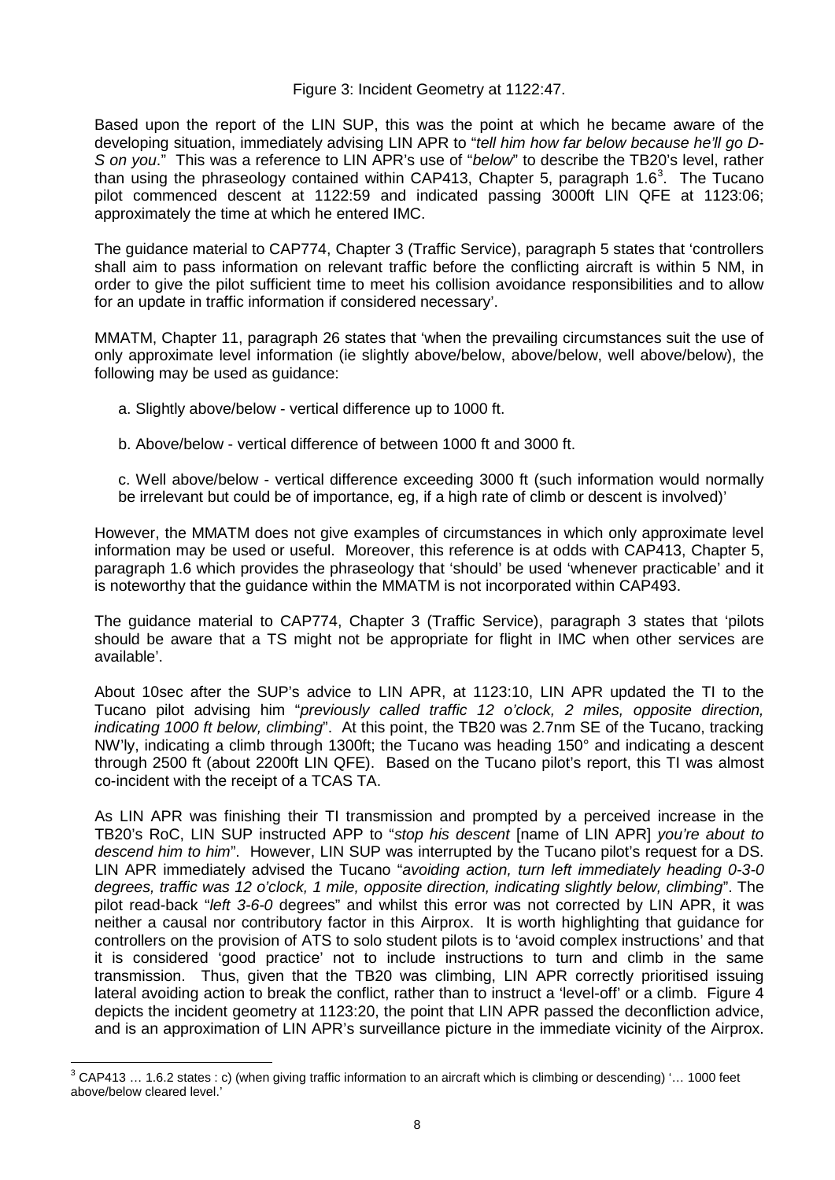### Figure 3: Incident Geometry at 1122:47.

Based upon the report of the LIN SUP, this was the point at which he became aware of the developing situation, immediately advising LIN APR to "*tell him how far below because he'll go D-S on you*." This was a reference to LIN APR's use of "*below*" to describe the TB20's level, rather than using the phraseology contained within CAP41[3](#page-7-0), Chapter 5, paragraph 1.6<sup>3</sup>. The Tucano pilot commenced descent at 1122:59 and indicated passing 3000ft LIN QFE at 1123:06; approximately the time at which he entered IMC.

The guidance material to CAP774, Chapter 3 (Traffic Service), paragraph 5 states that 'controllers shall aim to pass information on relevant traffic before the conflicting aircraft is within 5 NM, in order to give the pilot sufficient time to meet his collision avoidance responsibilities and to allow for an update in traffic information if considered necessary'.

MMATM, Chapter 11, paragraph 26 states that 'when the prevailing circumstances suit the use of only approximate level information (ie slightly above/below, above/below, well above/below), the following may be used as guidance:

- a. Slightly above/below vertical difference up to 1000 ft.
- b. Above/below vertical difference of between 1000 ft and 3000 ft.
- c. Well above/below vertical difference exceeding 3000 ft (such information would normally be irrelevant but could be of importance, eg, if a high rate of climb or descent is involved)'

However, the MMATM does not give examples of circumstances in which only approximate level information may be used or useful. Moreover, this reference is at odds with CAP413, Chapter 5, paragraph 1.6 which provides the phraseology that 'should' be used 'whenever practicable' and it is noteworthy that the guidance within the MMATM is not incorporated within CAP493.

The guidance material to CAP774, Chapter 3 (Traffic Service), paragraph 3 states that 'pilots should be aware that a TS might not be appropriate for flight in IMC when other services are available'.

About 10sec after the SUP's advice to LIN APR, at 1123:10, LIN APR updated the TI to the Tucano pilot advising him "*previously called traffic 12 o'clock, 2 miles, opposite direction, indicating 1000 ft below, climbing*". At this point, the TB20 was 2.7nm SE of the Tucano, tracking NW'ly, indicating a climb through 1300ft; the Tucano was heading 150° and indicating a descent through 2500 ft (about 2200ft LIN QFE). Based on the Tucano pilot's report, this TI was almost co-incident with the receipt of a TCAS TA.

As LIN APR was finishing their TI transmission and prompted by a perceived increase in the TB20's RoC, LIN SUP instructed APP to "*stop his descent* [name of LIN APR] *you're about to descend him to him*". However, LIN SUP was interrupted by the Tucano pilot's request for a DS. LIN APR immediately advised the Tucano "*avoiding action, turn left immediately heading 0-3-0 degrees, traffic was 12 o'clock, 1 mile, opposite direction, indicating slightly below, climbing*". The pilot read-back "*left 3-6-0* degrees" and whilst this error was not corrected by LIN APR, it was neither a causal nor contributory factor in this Airprox. It is worth highlighting that guidance for controllers on the provision of ATS to solo student pilots is to 'avoid complex instructions' and that it is considered 'good practice' not to include instructions to turn and climb in the same transmission. Thus, given that the TB20 was climbing, LIN APR correctly prioritised issuing lateral avoiding action to break the conflict, rather than to instruct a 'level-off' or a climb. Figure 4 depicts the incident geometry at 1123:20, the point that LIN APR passed the deconfliction advice, and is an approximation of LIN APR's surveillance picture in the immediate vicinity of the Airprox.

<span id="page-7-0"></span> $3$  CAP413 ... 1.6.2 states : c) (when giving traffic information to an aircraft which is climbing or descending) '... 1000 feet above/below cleared level.'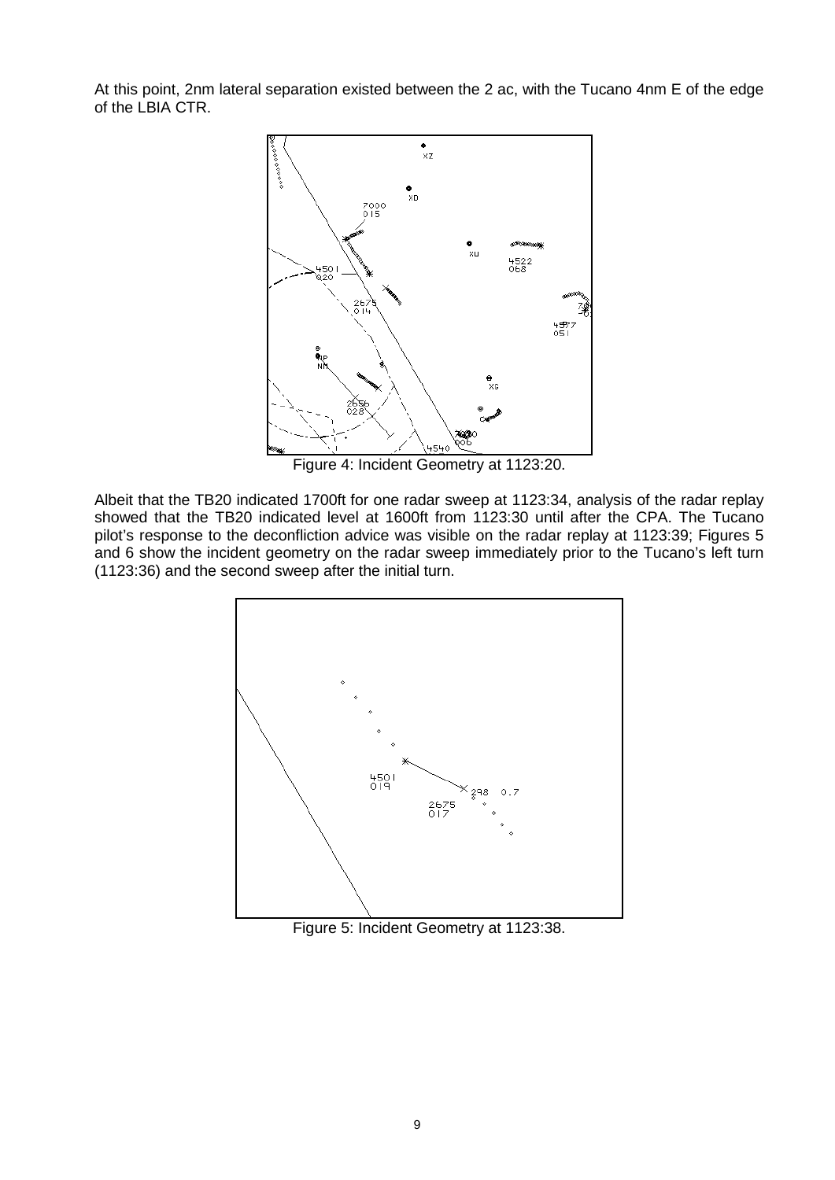At this point, 2nm lateral separation existed between the 2 ac, with the Tucano 4nm E of the edge of the LBIA CTR.



Figure 4: Incident Geometry at 1123:20.

Albeit that the TB20 indicated 1700ft for one radar sweep at 1123:34, analysis of the radar replay showed that the TB20 indicated level at 1600ft from 1123:30 until after the CPA. The Tucano pilot's response to the deconfliction advice was visible on the radar replay at 1123:39; Figures 5 and 6 show the incident geometry on the radar sweep immediately prior to the Tucano's left turn (1123:36) and the second sweep after the initial turn.



Figure 5: Incident Geometry at 1123:38.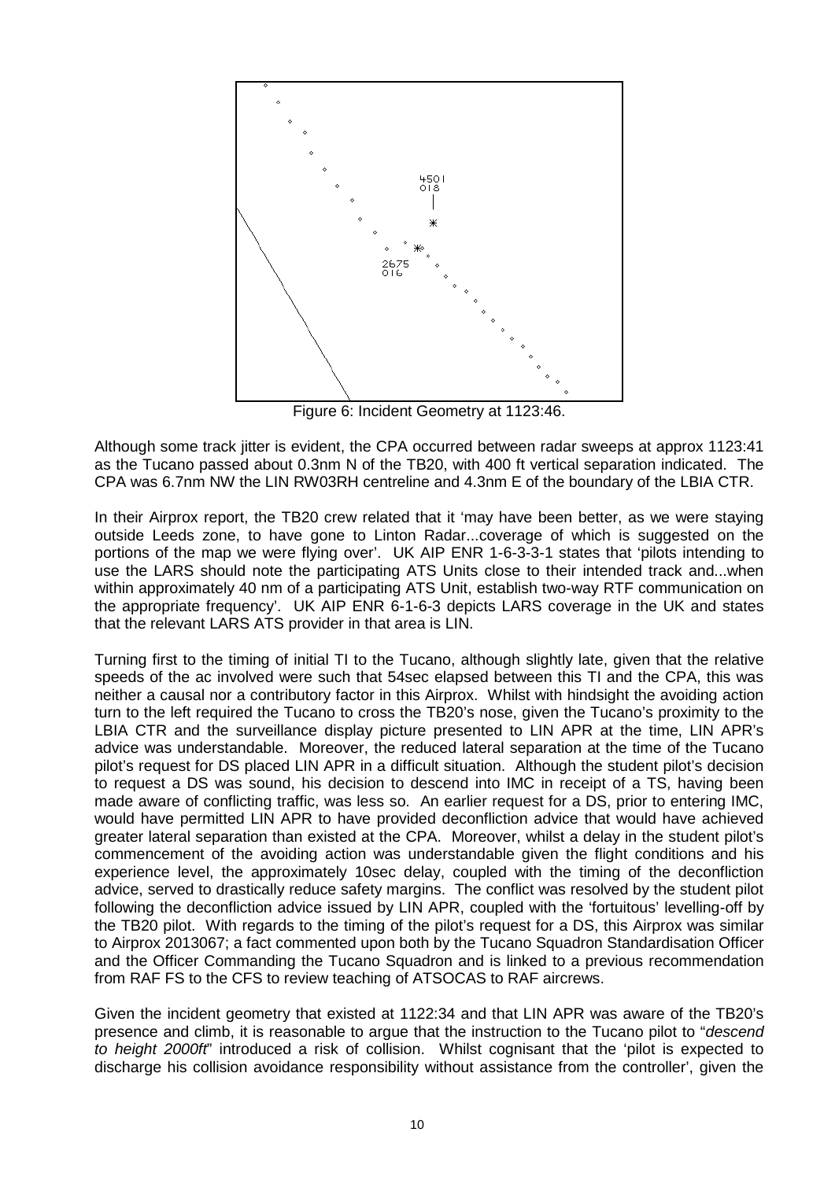

Figure 6: Incident Geometry at 1123:46.

Although some track jitter is evident, the CPA occurred between radar sweeps at approx 1123:41 as the Tucano passed about 0.3nm N of the TB20, with 400 ft vertical separation indicated. The CPA was 6.7nm NW the LIN RW03RH centreline and 4.3nm E of the boundary of the LBIA CTR.

In their Airprox report, the TB20 crew related that it 'may have been better, as we were staying outside Leeds zone, to have gone to Linton Radar...coverage of which is suggested on the portions of the map we were flying over'. UK AIP ENR 1-6-3-3-1 states that 'pilots intending to use the LARS should note the participating ATS Units close to their intended track and...when within approximately 40 nm of a participating ATS Unit, establish two-way RTF communication on the appropriate frequency'. UK AIP ENR 6-1-6-3 depicts LARS coverage in the UK and states that the relevant LARS ATS provider in that area is LIN.

Turning first to the timing of initial TI to the Tucano, although slightly late, given that the relative speeds of the ac involved were such that 54sec elapsed between this TI and the CPA, this was neither a causal nor a contributory factor in this Airprox. Whilst with hindsight the avoiding action turn to the left required the Tucano to cross the TB20's nose, given the Tucano's proximity to the LBIA CTR and the surveillance display picture presented to LIN APR at the time, LIN APR's advice was understandable. Moreover, the reduced lateral separation at the time of the Tucano pilot's request for DS placed LIN APR in a difficult situation. Although the student pilot's decision to request a DS was sound, his decision to descend into IMC in receipt of a TS, having been made aware of conflicting traffic, was less so. An earlier request for a DS, prior to entering IMC, would have permitted LIN APR to have provided deconfliction advice that would have achieved greater lateral separation than existed at the CPA. Moreover, whilst a delay in the student pilot's commencement of the avoiding action was understandable given the flight conditions and his experience level, the approximately 10sec delay, coupled with the timing of the deconfliction advice, served to drastically reduce safety margins. The conflict was resolved by the student pilot following the deconfliction advice issued by LIN APR, coupled with the 'fortuitous' levelling-off by the TB20 pilot. With regards to the timing of the pilot's request for a DS, this Airprox was similar to Airprox 2013067; a fact commented upon both by the Tucano Squadron Standardisation Officer and the Officer Commanding the Tucano Squadron and is linked to a previous recommendation from RAF FS to the CFS to review teaching of ATSOCAS to RAF aircrews.

Given the incident geometry that existed at 1122:34 and that LIN APR was aware of the TB20's presence and climb, it is reasonable to argue that the instruction to the Tucano pilot to "*descend to height 2000ft*" introduced a risk of collision. Whilst cognisant that the 'pilot is expected to discharge his collision avoidance responsibility without assistance from the controller', given the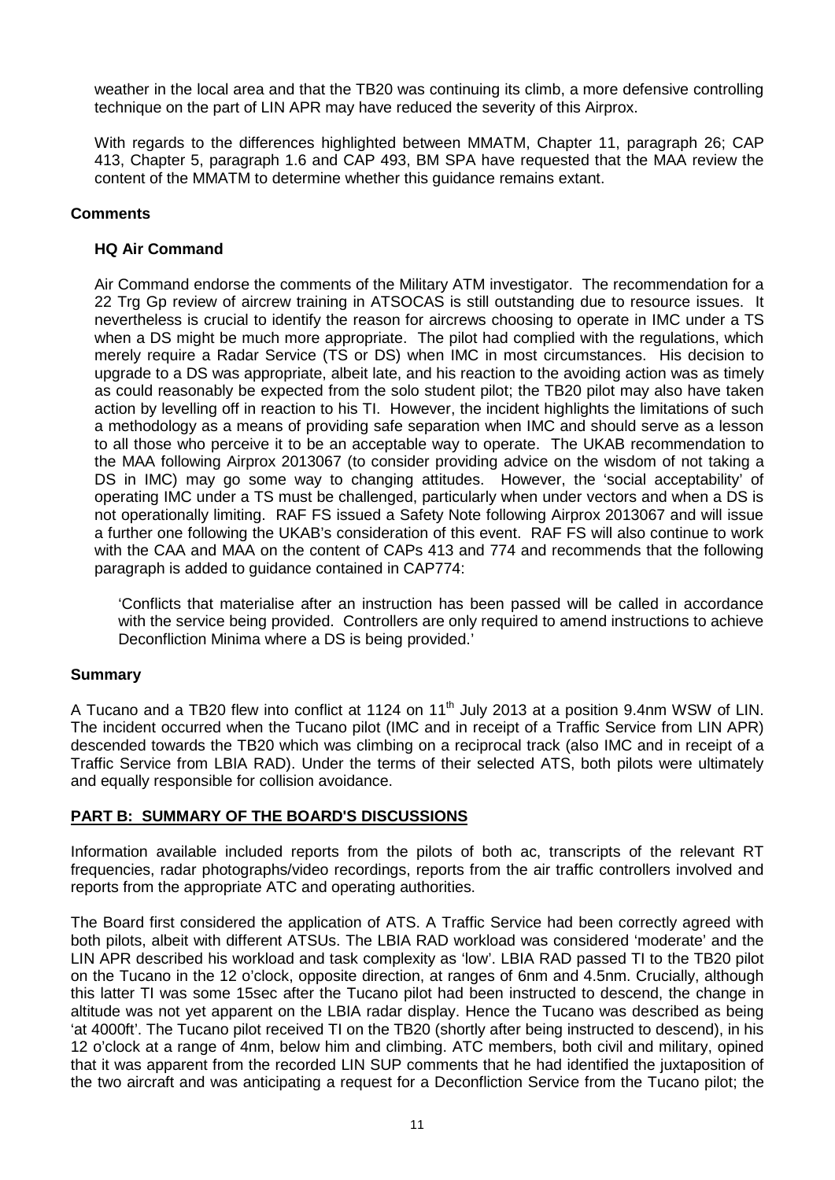weather in the local area and that the TB20 was continuing its climb, a more defensive controlling technique on the part of LIN APR may have reduced the severity of this Airprox.

With regards to the differences highlighted between MMATM, Chapter 11, paragraph 26; CAP 413, Chapter 5, paragraph 1.6 and CAP 493, BM SPA have requested that the MAA review the content of the MMATM to determine whether this guidance remains extant.

# **Comments**

# **HQ Air Command**

Air Command endorse the comments of the Military ATM investigator. The recommendation for a 22 Trg Gp review of aircrew training in ATSOCAS is still outstanding due to resource issues. It nevertheless is crucial to identify the reason for aircrews choosing to operate in IMC under a TS when a DS might be much more appropriate. The pilot had complied with the regulations, which merely require a Radar Service (TS or DS) when IMC in most circumstances. His decision to upgrade to a DS was appropriate, albeit late, and his reaction to the avoiding action was as timely as could reasonably be expected from the solo student pilot; the TB20 pilot may also have taken action by levelling off in reaction to his TI. However, the incident highlights the limitations of such a methodology as a means of providing safe separation when IMC and should serve as a lesson to all those who perceive it to be an acceptable way to operate. The UKAB recommendation to the MAA following Airprox 2013067 (to consider providing advice on the wisdom of not taking a DS in IMC) may go some way to changing attitudes. However, the 'social acceptability' of operating IMC under a TS must be challenged, particularly when under vectors and when a DS is not operationally limiting. RAF FS issued a Safety Note following Airprox 2013067 and will issue a further one following the UKAB's consideration of this event. RAF FS will also continue to work with the CAA and MAA on the content of CAPs 413 and 774 and recommends that the following paragraph is added to guidance contained in CAP774:

'Conflicts that materialise after an instruction has been passed will be called in accordance with the service being provided. Controllers are only required to amend instructions to achieve Deconfliction Minima where a DS is being provided.'

# **Summary**

A Tucano and a TB20 flew into conflict at 1124 on 11<sup>th</sup> July 2013 at a position 9.4nm WSW of LIN. The incident occurred when the Tucano pilot (IMC and in receipt of a Traffic Service from LIN APR) descended towards the TB20 which was climbing on a reciprocal track (also IMC and in receipt of a Traffic Service from LBIA RAD). Under the terms of their selected ATS, both pilots were ultimately and equally responsible for collision avoidance.

# **PART B: SUMMARY OF THE BOARD'S DISCUSSIONS**

Information available included reports from the pilots of both ac, transcripts of the relevant RT frequencies, radar photographs/video recordings, reports from the air traffic controllers involved and reports from the appropriate ATC and operating authorities.

The Board first considered the application of ATS. A Traffic Service had been correctly agreed with both pilots, albeit with different ATSUs. The LBIA RAD workload was considered 'moderate' and the LIN APR described his workload and task complexity as 'low'. LBIA RAD passed TI to the TB20 pilot on the Tucano in the 12 o'clock, opposite direction, at ranges of 6nm and 4.5nm. Crucially, although this latter TI was some 15sec after the Tucano pilot had been instructed to descend, the change in altitude was not yet apparent on the LBIA radar display. Hence the Tucano was described as being 'at 4000ft'. The Tucano pilot received TI on the TB20 (shortly after being instructed to descend), in his 12 o'clock at a range of 4nm, below him and climbing. ATC members, both civil and military, opined that it was apparent from the recorded LIN SUP comments that he had identified the juxtaposition of the two aircraft and was anticipating a request for a Deconfliction Service from the Tucano pilot; the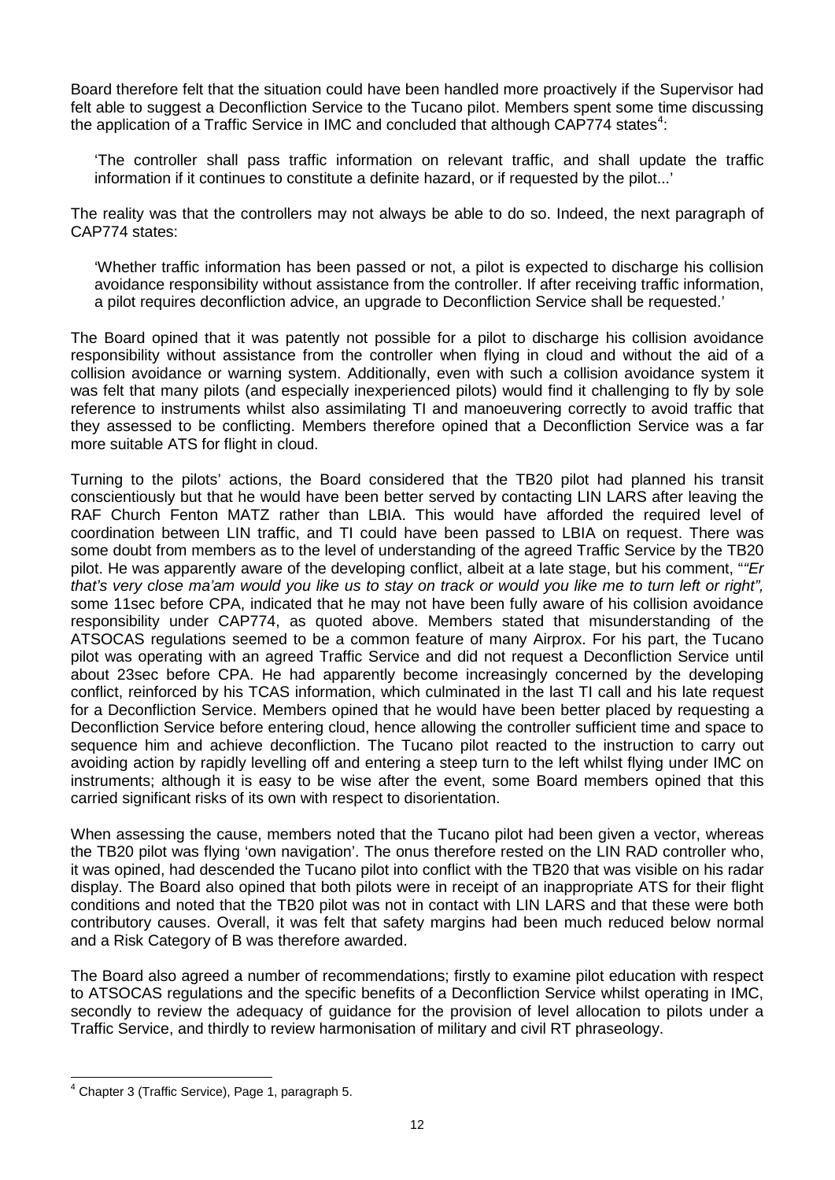Board therefore felt that the situation could have been handled more proactively if the Supervisor had felt able to suggest a Deconfliction Service to the Tucano pilot. Members spent some time discussing the application of a Traffic Service in IMC and concluded that although CAP77[4](#page-11-0) states<sup>4</sup>:

'The controller shall pass traffic information on relevant traffic, and shall update the traffic information if it continues to constitute a definite hazard, or if requested by the pilot...'

The reality was that the controllers may not always be able to do so. Indeed, the next paragraph of CAP774 states:

'Whether traffic information has been passed or not, a pilot is expected to discharge his collision avoidance responsibility without assistance from the controller. If after receiving traffic information, a pilot requires deconfliction advice, an upgrade to Deconfliction Service shall be requested.'

The Board opined that it was patently not possible for a pilot to discharge his collision avoidance responsibility without assistance from the controller when flying in cloud and without the aid of a collision avoidance or warning system. Additionally, even with such a collision avoidance system it was felt that many pilots (and especially inexperienced pilots) would find it challenging to fly by sole reference to instruments whilst also assimilating TI and manoeuvering correctly to avoid traffic that they assessed to be conflicting. Members therefore opined that a Deconfliction Service was a far more suitable ATS for flight in cloud.

Turning to the pilots' actions, the Board considered that the TB20 pilot had planned his transit conscientiously but that he would have been better served by contacting LIN LARS after leaving the RAF Church Fenton MATZ rather than LBIA. This would have afforded the required level of coordination between LIN traffic, and TI could have been passed to LBIA on request. There was some doubt from members as to the level of understanding of the agreed Traffic Service by the TB20 pilot. He was apparently aware of the developing conflict, albeit at a late stage, but his comment, "*"Er that's very close ma'am would you like us to stay on track or would you like me to turn left or right",* some 11sec before CPA, indicated that he may not have been fully aware of his collision avoidance responsibility under CAP774, as quoted above. Members stated that misunderstanding of the ATSOCAS regulations seemed to be a common feature of many Airprox. For his part, the Tucano pilot was operating with an agreed Traffic Service and did not request a Deconfliction Service until about 23sec before CPA. He had apparently become increasingly concerned by the developing conflict, reinforced by his TCAS information, which culminated in the last TI call and his late request for a Deconfliction Service. Members opined that he would have been better placed by requesting a Deconfliction Service before entering cloud, hence allowing the controller sufficient time and space to sequence him and achieve deconfliction. The Tucano pilot reacted to the instruction to carry out avoiding action by rapidly levelling off and entering a steep turn to the left whilst flying under IMC on instruments; although it is easy to be wise after the event, some Board members opined that this carried significant risks of its own with respect to disorientation.

When assessing the cause, members noted that the Tucano pilot had been given a vector, whereas the TB20 pilot was flying 'own navigation'. The onus therefore rested on the LIN RAD controller who, it was opined, had descended the Tucano pilot into conflict with the TB20 that was visible on his radar display. The Board also opined that both pilots were in receipt of an inappropriate ATS for their flight conditions and noted that the TB20 pilot was not in contact with LIN LARS and that these were both contributory causes. Overall, it was felt that safety margins had been much reduced below normal and a Risk Category of B was therefore awarded.

The Board also agreed a number of recommendations; firstly to examine pilot education with respect to ATSOCAS regulations and the specific benefits of a Deconfliction Service whilst operating in IMC, secondly to review the adequacy of guidance for the provision of level allocation to pilots under a Traffic Service, and thirdly to review harmonisation of military and civil RT phraseology.

<span id="page-11-0"></span><sup>4</sup> Chapter 3 (Traffic Service), Page 1, paragraph 5.